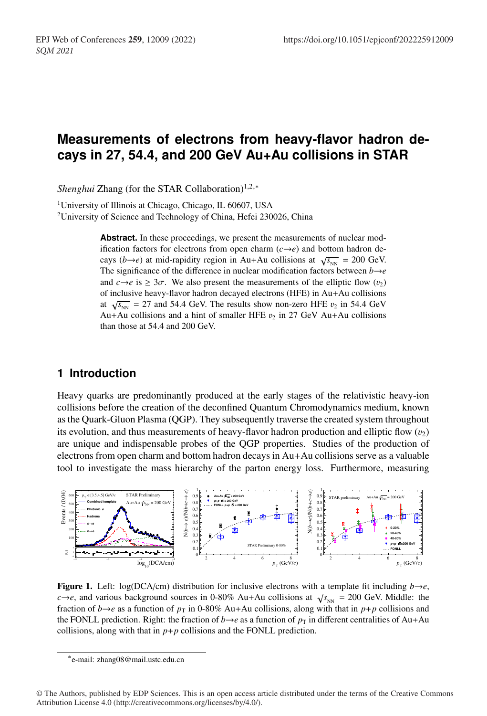# **Measurements of electrons from heavy-flavor hadron decays in 27, 54.4, and 200 GeV Au+Au collisions in STAR**

*Shenghui* Zhang (for the STAR Collaboration)<sup>1,2,∗</sup>

<sup>1</sup>University of Illinois at Chicago, Chicago, IL 60607, USA 2University of Science and Technology of China, Hefei 230026, China

> Abstract. In these proceedings, we present the measurements of nuclear modification factors for electrons from open charm  $(c \rightarrow e)$  and bottom hadron decays ( $b \rightarrow e$ ) at mid-rapidity region in Au+Au collisions at  $\sqrt{s_{_{NN}}}$  = 200 GeV. The significance of the difference in nuclear modification factors between  $b \rightarrow e$ and  $c \rightarrow e$  is  $\geq 3\sigma$ . We also present the measurements of the elliptic flow ( $v_2$ ) of inclusive heavy-flavor hadron decayed electrons (HFE) in Au+Au collisions at  $\sqrt{s_{_{NN}}}$  = 27 and 54.4 GeV. The results show non-zero HFE  $v_2$  in 54.4 GeV Au+Au collisions and a hint of smaller HFE  $v_2$  in 27 GeV Au+Au collisions than those at 54.4 and 200 GeV.

## **1 Introduction**

Heavy quarks are predominantly produced at the early stages of the relativistic heavy-ion collisions before the creation of the deconfined Quantum Chromodynamics medium, known as the Quark-Gluon Plasma (QGP). They subsequently traverse the created system throughout its evolution, and thus measurements of heavy-flavor hadron production and elliptic flow  $(v_2)$ are unique and indispensable probes of the QGP properties. Studies of the production of electrons from open charm and bottom hadron decays in Au+Au collisions serve as a valuable tool to investigate the mass hierarchy of the parton energy loss. Furthermore, measuring



**Figure 1.** Left: log(DCA/cm) distribution for inclusive electrons with a template fit including  $b \rightarrow e$ ,  $c \rightarrow e$ , and various background sources in 0-80% Au+Au collisions at  $\sqrt{s_{NN}}$  = 200 GeV. Middle: the fraction of *b*→*e* as a function of  $p<sub>T</sub>$  in 0-80% Au+Au collisions, along with that in *p*+*p* collisions and the FONLL prediction. Right: the fraction of *b*→*e* as a function of  $p<sub>T</sub>$  in different centralities of Au+Au collisions, along with that in  $p+p$  collisions and the FONLL prediction.

<sup>∗</sup>e-mail: zhang08@mail.ustc.edu.cn

<sup>©</sup> The Authors, published by EDP Sciences. This is an open access article distributed under the terms of the Creative Commons Attribution License 4.0 (http://creativecommons.org/licenses/by/4.0/).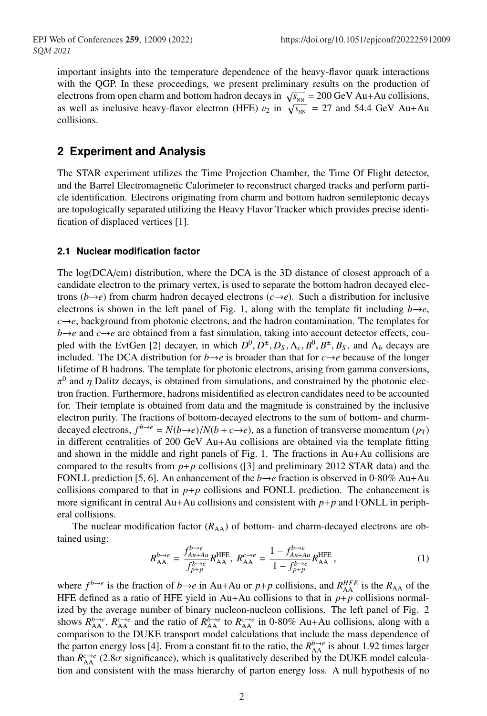important insights into the temperature dependence of the heavy-flavor quark interactions with the QGP. In these proceedings, we present preliminary results on the production of electrons from open charm and bottom hadron decays in  $\sqrt{s_{NN}} = 200 \text{ GeV}$  Au+Au collisions, as well as inclusive heavy-flavor electron (HFE)  $v_2$  in  $\sqrt{s_{NN}} = 27$  and 54.4 GeV Au+Au collisions.

v<sup>2</sup> of heavy flavor hadrons and their decay daughters at different collision energies provide

# **2 Experiment and Analysis**

The STAR experiment utilizes the Time Projection Chamber, the Time Of Flight detector, and the Barrel Electromagnetic Calorimeter to reconstruct charged tracks and perform particle identification. Electrons originating from charm and bottom hadron semileptonic decays are topologically separated utilizing the Heavy Flavor Tracker which provides precise identification of displaced vertices [1].

### **2.1 Nuclear modification factor**

The log(DCA/cm) distribution, where the DCA is the 3D distance of closest approach of a candidate electron to the primary vertex, is used to separate the bottom hadron decayed electrons ( $b \rightarrow e$ ) from charm hadron decayed electrons ( $c \rightarrow e$ ). Such a distribution for inclusive electrons is shown in the left panel of Fig. 1, along with the template fit including  $b\rightarrow e$ ,  $c \rightarrow e$ , background from photonic electrons, and the hadron contamination. The templates for  $b \rightarrow e$  and  $c \rightarrow e$  are obtained from a fast simulation, taking into account detector effects, coupled with the EvtGen [2] decayer, in which  $D^0, D^{\pm}, D_S, \Lambda_c, B^0, B^{\pm}, B_S$ , and  $\Lambda_b$  decays are included. The DCA distribution for  $b \rightarrow e$  is broader than that for  $c \rightarrow e$  because of the longer lifetime of B hadrons. The template for photonic electrons, arising from gamma conversions,  $\pi^0$  and  $\eta$  Dalitz decays, is obtained from simulations, and constrained by the photonic electron fraction. Furthermore, hadrons misidentified as electron candidates need to be accounted for. Their template is obtained from data and the magnitude is constrained by the inclusive electron purity. The fractions of bottom-decayed electrons to the sum of bottom- and charmdecayed electrons,  $f^{b\to e} = N(b\to e)/N(b+c\to e)$ , as a function of transverse momentum  $(p_T)$ in different centralities of 200 GeV Au+Au collisions are obtained via the template fitting and shown in the middle and right panels of Fig. 1. The fractions in  $Au+Au$  collisions are compared to the results from  $p+p$  collisions ([3] and preliminary 2012 STAR data) and the FONLL prediction [5, 6]. An enhancement of the  $b \rightarrow e$  fraction is observed in 0-80% Au+Au collisions compared to that in  $p+p$  collisions and FONLL prediction. The enhancement is more significant in central  $Au+Au$  collisions and consistent with  $p+p$  and FONLL in peripheral collisions.

The nuclear modification factor  $(R_{AA})$  of bottom- and charm-decayed electrons are obtained using:

$$
R_{\text{AA}}^{b \to e} = \frac{f_{Au+Au}^{b \to e}}{f_{p+p}^{b \to e}} R_{\text{AA}}^{\text{HFE}}, \ R_{\text{AA}}^{c \to e} = \frac{1 - f_{Au+Au}^{b \to e}}{1 - f_{p+p}^{b \to e}} R_{\text{AA}}^{\text{HFE}}, \tag{1}
$$

where  $f^{b\to e}$  is the fraction of  $b\to e$  in Au+Au or  $p+p$  collisions, and  $R_{AA}^{HFE}$  is the  $R_{AA}$  of the HFE defined as a ratio of HFE yield in Au+Au collisions to that in  $p+p$  collisions normalized by the average number of binary nucleon-nucleon collisions. The left panel of Fig. 2 shows  $R_{AA}^{b\to e}$ ,  $R_{AA}^{c\to e}$  and the ratio of  $R_{AA}^{b\to e}$  to  $R_{AA}^{c\to e}$  in 0-80% Au+Au collisions, along with a comparison to the DUKE transport model calculations that include the mass dependence of the parton energy loss [4]. From a constant fit to the ratio, the  $R_{AA}^{b\to e}$  is about 1.92 times larger than  $R_{AA}^{c\rightarrow e}$  (2.8 $\sigma$  significance), which is qualitatively described by the DUKE model calculation and consistent with the mass hierarchy of parton energy loss. A null hypothesis of no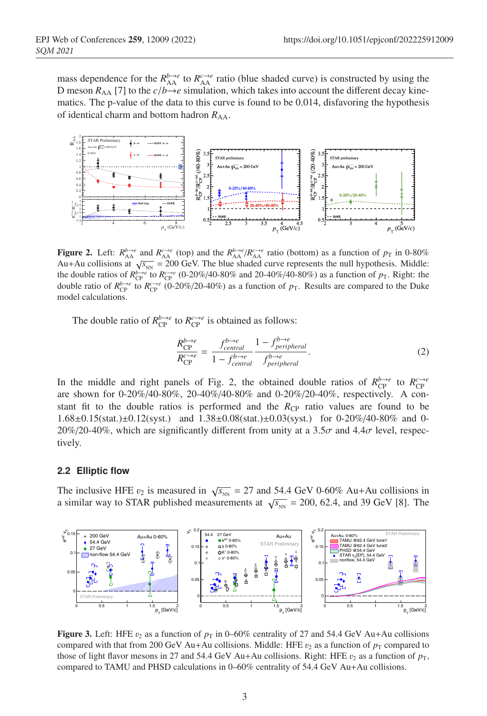mass dependence for the  $R_{AA}^{b\to e}$  to  $R_{AA}^{c\to e}$  ratio (blue shaded curve) is constructed by using the D meson  $R_{AA}$  [7] to the  $c/b\rightarrow e$  simulation, which takes into account the different decay kinematics. The p-value of the data to this curve is found to be 0.014, disfavoring the hypothesis of identical charm and bottom hadron  $R_{AA}$ .



**Figure 2.** Left:  $R_{AA}^{b\to e}$  and  $R_{AA}^{c\to e}$  (top) and the  $R_{AA}^{b\to e}/R_{AA}^{c\to e}$  ratio (bottom) as a function of  $p_T$  in 0-80% Au+Au collisions at  $\sqrt{s_{NN}}$  = 200 GeV. The blue shaded curve represents the null hypothesis. Middle: the double ratios of  $R_{\text{CP}}^{b\to e}$  to  $R_{\text{CP}}^{c\to e}$  (0-20%/40-80% and 20-40%/40-80%) as a function of  $p_{\text{T}}$ . Right: the double ratio of  $R_{CP}^{b\to e}$  to  $R_{CP}^{c\to e}$  (0-20%/20-40%) as a function of  $p_T$ . Results are compared to the Duke model calculations.

The double ratio of  $R_{\text{CP}}^{b\to e}$  to  $R_{\text{CP}}^{c\to e}$  is obtained as follows:

$$
\frac{R_{\text{CP}}^{b \to e}}{R_{\text{CP}}^{c \to e}} = \frac{f_{central}^{b \to e}}{1 - f_{central}^{b \to e}} \frac{1 - f_{peripheral}^{b \to e}}{f_{peripheral}^{b \to e}}.
$$
\n(2)

In the middle and right panels of Fig. 2, the obtained double ratios of  $R_{CP}^{b\to e}$  to  $R_{CP}^{c\to e}$ are shown for 0-20%/40-80%, 20-40%/40-80% and 0-20%/20-40%, respectively. A constant fit to the double ratios is performed and the  $R_{\text{CP}}$  ratio values are found to be 1.68±0.15(stat.)±0.12(syst.) and 1.38±0.08(stat.)±0.03(syst.) for 0-20%/40-80% and 0- 20%/20-40%, which are significantly different from unity at a 3.5 $\sigma$  and 4.4 $\sigma$  level, respectively.

#### **2.2 Elliptic flow**

The inclusive HFE  $v_2$  is measured in  $\sqrt{s_{NN}} = 27$  and 54.4 GeV 0-60% Au+Au collisions in a similar way to STAR published measurements at  $\sqrt{s_{_{NN}}}$  = 200, 62.4, and 39 GeV [8]. The



**Figure 3.** Left: HFE  $v_2$  as a function of  $p_T$  in 0–60% centrality of 27 and 54.4 GeV Au+Au collisions compared with that from 200 GeV Au+Au collisions. Middle: HFE  $v_2$  as a function of  $p_T$  compared to those of light flavor mesons in 27 and 54.4 GeV Au+Au collisions. Right: HFE  $v_2$  as a function of  $p_T$ , compared to TAMU and PHSD calculations in 0–60% centrality of 54.4 GeV Au+Au collisions.